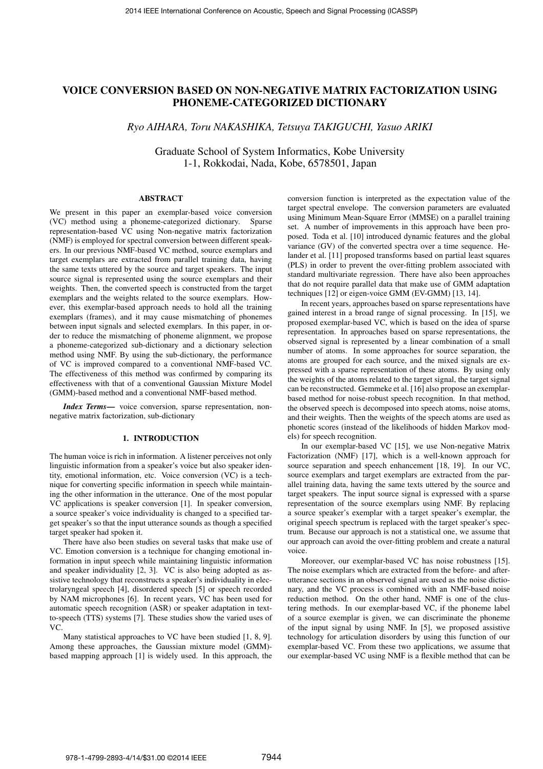# VOICE CONVERSION BASED ON NON-NEGATIVE MATRIX FACTORIZATION USING PHONEME-CATEGORIZED DICTIONARY

# *Ryo AIHARA, Toru NAKASHIKA, Tetsuya TAKIGUCHI, Yasuo ARIKI*

Graduate School of System Informatics, Kobe University 1-1, Rokkodai, Nada, Kobe, 6578501, Japan

## ABSTRACT

We present in this paper an exemplar-based voice conversion (VC) method using a phoneme-categorized dictionary. Sparse representation-based VC using Non-negative matrix factorization (NMF) is employed for spectral conversion between different speakers. In our previous NMF-based VC method, source exemplars and target exemplars are extracted from parallel training data, having the same texts uttered by the source and target speakers. The input source signal is represented using the source exemplars and their weights. Then, the converted speech is constructed from the target exemplars and the weights related to the source exemplars. However, this exemplar-based approach needs to hold all the training exemplars (frames), and it may cause mismatching of phonemes between input signals and selected exemplars. In this paper, in order to reduce the mismatching of phoneme alignment, we propose a phoneme-categorized sub-dictionary and a dictionary selection method using NMF. By using the sub-dictionary, the performance of VC is improved compared to a conventional NMF-based VC. The effectiveness of this method was confirmed by comparing its effectiveness with that of a conventional Gaussian Mixture Model (GMM)-based method and a conventional NMF-based method.

*Index Terms*— voice conversion, sparse representation, nonnegative matrix factorization, sub-dictionary

## 1. INTRODUCTION

The human voice is rich in information. A listener perceives not only linguistic information from a speaker's voice but also speaker identity, emotional information, etc. Voice conversion (VC) is a technique for converting specific information in speech while maintaining the other information in the utterance. One of the most popular VC applications is speaker conversion [1]. In speaker conversion, a source speaker's voice individuality is changed to a specified target speaker's so that the input utterance sounds as though a specified target speaker had spoken it.

There have also been studies on several tasks that make use of VC. Emotion conversion is a technique for changing emotional information in input speech while maintaining linguistic information and speaker individuality [2, 3]. VC is also being adopted as assistive technology that reconstructs a speaker's individuality in electrolaryngeal speech [4], disordered speech [5] or speech recorded by NAM microphones [6]. In recent years, VC has been used for automatic speech recognition (ASR) or speaker adaptation in textto-speech (TTS) systems [7]. These studies show the varied uses of VC.

Many statistical approaches to VC have been studied [1, 8, 9]. Among these approaches, the Gaussian mixture model (GMM) based mapping approach [1] is widely used. In this approach, the conversion function is interpreted as the expectation value of the target spectral envelope. The conversion parameters are evaluated using Minimum Mean-Square Error (MMSE) on a parallel training set. A number of improvements in this approach have been proposed. Toda et al. [10] introduced dynamic features and the global variance (GV) of the converted spectra over a time sequence. Helander et al. [11] proposed transforms based on partial least squares (PLS) in order to prevent the over-fitting problem associated with standard multivariate regression. There have also been approaches that do not require parallel data that make use of GMM adaptation techniques [12] or eigen-voice GMM (EV-GMM) [13, 14].

In recent years, approaches based on sparse representations have gained interest in a broad range of signal processing. In [15], we proposed exemplar-based VC, which is based on the idea of sparse representation. In approaches based on sparse representations, the observed signal is represented by a linear combination of a small number of atoms. In some approaches for source separation, the atoms are grouped for each source, and the mixed signals are expressed with a sparse representation of these atoms. By using only the weights of the atoms related to the target signal, the target signal can be reconstructed. Gemmeke et al. [16] also propose an exemplarbased method for noise-robust speech recognition. In that method, the observed speech is decomposed into speech atoms, noise atoms, and their weights. Then the weights of the speech atoms are used as phonetic scores (instead of the likelihoods of hidden Markov models) for speech recognition.

In our exemplar-based VC [15], we use Non-negative Matrix Factorization (NMF) [17], which is a well-known approach for source separation and speech enhancement [18, 19]. In our VC, source exemplars and target exemplars are extracted from the parallel training data, having the same texts uttered by the source and target speakers. The input source signal is expressed with a sparse representation of the source exemplars using NMF. By replacing a source speaker's exemplar with a target speaker's exemplar, the original speech spectrum is replaced with the target speaker's spectrum. Because our approach is not a statistical one, we assume that our approach can avoid the over-fitting problem and create a natural voice.

Moreover, our exemplar-based VC has noise robustness [15]. The noise exemplars which are extracted from the before- and afterutterance sections in an observed signal are used as the noise dictionary, and the VC process is combined with an NMF-based noise reduction method. On the other hand, NMF is one of the clustering methods. In our exemplar-based VC, if the phoneme label of a source exemplar is given, we can discriminate the phoneme of the input signal by using NMF. In [5], we proposed assistive technology for articulation disorders by using this function of our exemplar-based VC. From these two applications, we assume that our exemplar-based VC using NMF is a flexible method that can be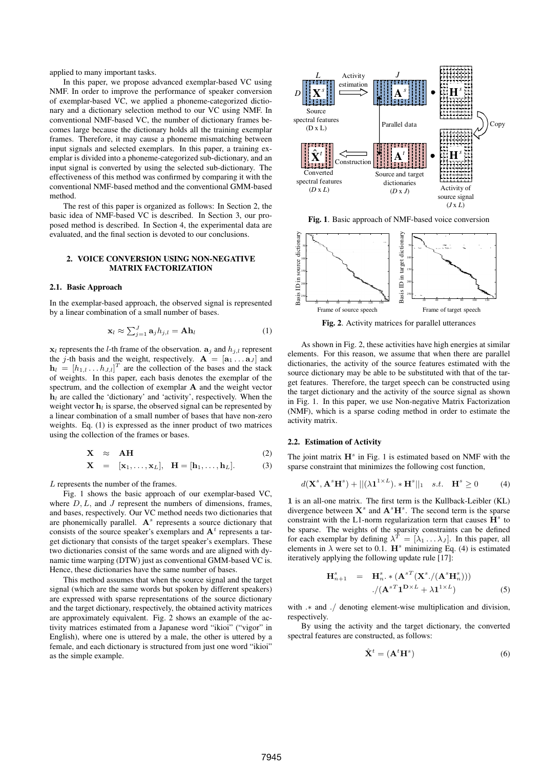applied to many important tasks.

In this paper, we propose advanced exemplar-based VC using NMF. In order to improve the performance of speaker conversion of exemplar-based VC, we applied a phoneme-categorized dictionary and a dictionary selection method to our VC using NMF. In conventional NMF-based VC, the number of dictionary frames becomes large because the dictionary holds all the training exemplar frames. Therefore, it may cause a phoneme mismatching between input signals and selected exemplars. In this paper, a training exemplar is divided into a phoneme-categorized sub-dictionary, and an input signal is converted by using the selected sub-dictionary. The effectiveness of this method was confirmed by comparing it with the conventional NMF-based method and the conventional GMM-based method.

The rest of this paper is organized as follows: In Section 2, the basic idea of NMF-based VC is described. In Section 3, our proposed method is described. In Section 4, the experimental data are evaluated, and the final section is devoted to our conclusions.

# 2. VOICE CONVERSION USING NON-NEGATIVE MATRIX FACTORIZATION

## 2.1. Basic Approach

In the exemplar-based approach, the observed signal is represented by a linear combination of a small number of bases.

$$
\mathbf{x}_{l} \approx \sum_{j=1}^{J} \mathbf{a}_{j} h_{j,l} = \mathbf{A} \mathbf{h}_{l} \tag{1}
$$

 $x_l$  represents the *l*-th frame of the observation.  $a_j$  and  $h_{j,l}$  represent the *j*-th basis and the weight, respectively.  $A = [\mathbf{a}_1 \dots \mathbf{a}_J]$  and  $\mathbf{h}_l = [h_{1,l} \dots h_{J,l}]^T$  are the collection of the bases and the stack of weights. In this paper, each basis denotes the exemplar of the spectrum, and the collection of exemplar **A** and the weight vector  $h_l$  are called the 'dictionary' and 'activity', respectively. When the weight vector  $\mathbf{h}_l$  is sparse, the observed signal can be represented by a linear combination of a small number of bases that have non-zero weights. Eq. (1) is expressed as the inner product of two matrices using the collection of the frames or bases.

$$
\mathbf{X} \quad \approx \quad \mathbf{AH} \tag{2}
$$

$$
\mathbf{X} = [\mathbf{x}_1, \dots, \mathbf{x}_L], \quad \mathbf{H} = [\mathbf{h}_1, \dots, \mathbf{h}_L]. \tag{3}
$$

*L* represents the number of the frames.

Fig. 1 shows the basic approach of our exemplar-based VC, where *D, L,* and *J* represent the numbers of dimensions, frames, and bases, respectively. Our VC method needs two dictionaries that are phonemically parallel. **A***<sup>s</sup>* represents a source dictionary that consists of the source speaker's exemplars and **A***<sup>t</sup>* represents a target dictionary that consists of the target speaker's exemplars. These two dictionaries consist of the same words and are aligned with dynamic time warping (DTW) just as conventional GMM-based VC is. Hence, these dictionaries have the same number of bases.

This method assumes that when the source signal and the target signal (which are the same words but spoken by different speakers) are expressed with sparse representations of the source dictionary and the target dictionary, respectively, the obtained activity matrices are approximately equivalent. Fig. 2 shows an example of the activity matrices estimated from a Japanese word "ikioi" ("vigor" in English), where one is uttered by a male, the other is uttered by a female, and each dictionary is structured from just one word "ikioi" as the simple example.



Fig. 1. Basic approach of NMF-based voice conversion



Fig. 2. Activity matrices for parallel utterances

As shown in Fig. 2, these activities have high energies at similar elements. For this reason, we assume that when there are parallel dictionaries, the activity of the source features estimated with the source dictionary may be able to be substituted with that of the target features. Therefore, the target speech can be constructed using the target dictionary and the activity of the source signal as shown in Fig. 1. In this paper, we use Non-negative Matrix Factorization (NMF), which is a sparse coding method in order to estimate the activity matrix.

### 2.2. Estimation of Activity

The joint matrix  $\mathbf{H}^s$  in Fig. 1 is estimated based on NMF with the sparse constraint that minimizes the following cost function,

$$
d(\mathbf{X}^s, \mathbf{A}^s \mathbf{H}^s) + ||(\lambda \mathbf{1}^{1 \times L}). * \mathbf{H}^s||_1 \quad s.t. \quad \mathbf{H}^s \ge 0 \tag{4}
$$

**1** is an all-one matrix. The first term is the Kullback-Leibler (KL) divergence between  $X^s$  and  $A^sH^s$ . The second term is the sparse constraint with the L1-norm regularization term that causes  $\mathbf{H}^s$  to be sparse. The weights of the sparsity constraints can be defined for each exemplar by defining  $\lambda^T = [\lambda_1 \dots \lambda_J]$ . In this paper, all elements in  $\lambda$  were set to 0.1.  $\mathbf{H}^s$  minimizing Eq. (4) is estimated iteratively applying the following update rule [17]:

$$
\mathbf{H}_{n+1}^{s} = \mathbf{H}_{n}^{s} \cdot \mathbf{A}^{sT} (\mathbf{X}^{s} \cdot / (\mathbf{A}^{s} \mathbf{H}_{n}^{s})))
$$

$$
\cdot / (\mathbf{A}^{sT} \mathbf{1}^{D \times L} + \lambda \mathbf{1}^{1 \times L})
$$
(5)

with *.∗* and *./* denoting element-wise multiplication and division, respectively.

By using the activity and the target dictionary, the converted spectral features are constructed, as follows:

$$
\hat{\mathbf{X}}^t = (\mathbf{A}^t \mathbf{H}^s) \tag{6}
$$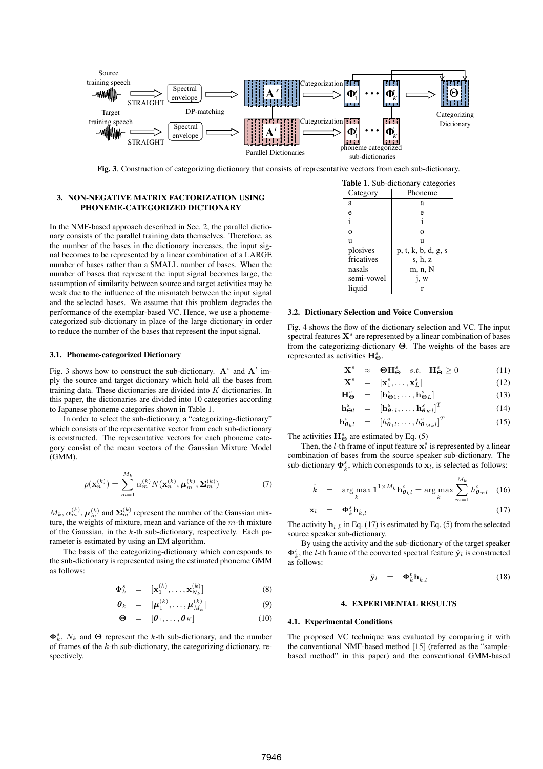

Fig. 3. Construction of categorizing dictionary that consists of representative vectors from each sub-dictionary.

# 3. NON-NEGATIVE MATRIX FACTORIZATION USING PHONEME-CATEGORIZED DICTIONARY

In the NMF-based approach described in Sec. 2, the parallel dictionary consists of the parallel training data themselves. Therefore, as the number of the bases in the dictionary increases, the input signal becomes to be represented by a linear combination of a LARGE number of bases rather than a SMALL number of bases. When the number of bases that represent the input signal becomes large, the assumption of similarity between source and target activities may be weak due to the influence of the mismatch between the input signal and the selected bases. We assume that this problem degrades the performance of the exemplar-based VC. Hence, we use a phonemecategorized sub-dictionary in place of the large dictionary in order to reduce the number of the bases that represent the input signal.

## 3.1. Phoneme-categorized Dictionary

Fig. 3 shows how to construct the sub-dictionary.  $A^s$  and  $A^t$  imply the source and target dictionary which hold all the bases from training data. These dictionaries are divided into *K* dictionaries. In this paper, the dictionaries are divided into 10 categories according to Japanese phoneme categories shown in Table 1.

In order to select the sub-dictionary, a "categorizing-dictionary" which consists of the representative vector from each sub-dictionary is constructed. The representative vectors for each phoneme category consist of the mean vectors of the Gaussian Mixture Model (GMM).

$$
p(\mathbf{x}_n^{(k)}) = \sum_{m=1}^{M_k} \alpha_m^{(k)} N(\mathbf{x}_n^{(k)}, \boldsymbol{\mu}_m^{(k)}, \boldsymbol{\Sigma}_m^{(k)})
$$
(7)

 $M_k$ ,  $\alpha_m^{(k)}$ ,  $\mu_m^{(k)}$  and  $\Sigma_m^{(k)}$  represent the number of the Gaussian mixture, the weights of mixture, mean and variance of the *m*-th mixture of the Gaussian, in the *k*-th sub-dictionary, respectively. Each parameter is estimated by using an EM algorithm.

The basis of the categorizing-dictionary which corresponds to the sub-dictionary is represented using the estimated phoneme GMM as follows:

$$
\mathbf{\Phi}_k^s = [\mathbf{x}_1^{(k)}, \dots, \mathbf{x}_{N_k}^{(k)}]
$$
\n(8)

$$
\boldsymbol{\theta}_k = [\boldsymbol{\mu}_1^{(k)}, \dots, \boldsymbol{\mu}_{M_k}^{(k)}] \tag{9}
$$

$$
\Theta = [\theta_1, \dots, \theta_K] \tag{10}
$$

 $\Phi_k^s$ ,  $N_k$  and  $\Theta$  represent the *k*-th sub-dictionary, and the number of frames of the *k*-th sub-dictionary, the categorizing dictionary, respectively.

| Table 1. Sub-dictionary categories |                     |
|------------------------------------|---------------------|
| Category                           | Phoneme             |
| a                                  | a                   |
| е                                  | е                   |
| i                                  | i                   |
| $\Omega$                           | $\Omega$            |
| Ħ                                  | 11                  |
| plosives                           | p, t, k, b, d, g, s |
| fricatives                         | s, h, z             |
| nasals                             | m, n, N             |
| semi-vowel                         | 1. W                |
| liquid                             | r                   |

#### 3.2. Dictionary Selection and Voice Conversion

Fig. 4 shows the flow of the dictionary selection and VC. The input spectral features  $X^s$  are represented by a linear combination of bases from the categorizing-dictionary **Θ**. The weights of the bases are represented as activities **H***<sup>s</sup>* **Θ**.

$$
\mathbf{X}^s \quad \approx \quad \mathbf{\Theta} \mathbf{H}_{\mathbf{\Theta}}^s \quad s.t. \quad \mathbf{H}_{\mathbf{\Theta}}^s \ge 0 \tag{11}
$$

$$
\mathbf{X}^s = [\mathbf{x}_1^s, \dots, \mathbf{x}_L^s]
$$
(12)  

$$
\mathbf{H}^s = [\mathbf{L}^s, \mathbf{L}^s, \mathbf{L}^s, \mathbf{L}^s, \mathbf{L}^s, \mathbf{L}^s, \mathbf{L}^s, \mathbf{L}^s, \mathbf{L}^s, \mathbf{L}^s, \mathbf{L}^s, \mathbf{L}^s, \mathbf{L}^s, \mathbf{L}^s, \mathbf{L}^s, \mathbf{L}^s, \mathbf{L}^s, \mathbf{L}^s, \mathbf{L}^s, \mathbf{L}^s, \mathbf{L}^s, \mathbf{L}^s, \mathbf{L}^s, \mathbf{L}^s, \mathbf{L}^s, \mathbf{L}^s, \mathbf{L}^s, \mathbf{L}^s, \mathbf{L}^s, \mathbf{L}^s, \mathbf{L}^s, \mathbf{L}^s, \mathbf{L}^s, \mathbf{L}^s, \mathbf{L}^s, \mathbf{L}^s, \mathbf{L}^s, \mathbf{L}^s, \mathbf{L}^s, \mathbf{L}^s, \mathbf{L}^s, \mathbf{L}^s, \mathbf{L}^s, \mathbf{L}^s, \mathbf{L}^s, \mathbf{L}^s, \mathbf{L}^s, \mathbf{L}^s, \mathbf{L}^s, \mathbf{L}^s, \mathbf{L}^s, \mathbf{L}^s, \mathbf{L}^s, \mathbf{L}^s, \mathbf{L}^s, \mathbf{L}^s, \mathbf{L}^s, \mathbf{L}^s, \mathbf{L}^s, \mathbf{L}^s, \mathbf{L}^s, \mathbf{L}^s, \mathbf{L}^s, \mathbf{L}^s, \mathbf{L}^s, \mathbf{L}^s, \mathbf{L}^s, \mathbf{L}^s, \mathbf{L}^s, \mathbf{L}^s, \mathbf{L}^s, \mathbf{L}^s, \mathbf{L}^s, \mathbf{L}^s, \mathbf{L}^s, \mathbf{L}^s, \mathbf{L}^s, \mathbf{L}^s, \mathbf{L}^s
$$

$$
\mathbf{H}_{\Theta}^{s} = [\mathbf{h}_{\Theta 1}^{s}, \dots, \mathbf{h}_{\Theta L}^{s}]
$$
(13)

$$
\mathbf{h}_{\Theta l}^{s} = [\mathbf{h}_{\theta_1 l}^{s}, \dots, \mathbf{h}_{\theta_K l}^{s}]^{T}
$$
 (14)

$$
\mathbf{h}_{\boldsymbol{\theta}_k l}^s = [h_{\boldsymbol{\theta}_1 l}^s, \dots, h_{\boldsymbol{\theta}_{M k} l}^s]^T
$$
 (15)

The activities  $\mathbf{H}_{\Theta}^{s}$  are estimated by Eq. (5)

Then, the *l*-th frame of input feature  $\mathbf{x}_l^s$  is represented by a linear combination of bases from the source speaker sub-dictionary. The sub-dictionary  $\Phi_{\hat{k}}^s$ , which corresponds to  $\mathbf{x}_l$ , is selected as follows:

$$
\hat{k} = \arg \max_{k} \mathbf{1}^{1 \times M_k} \mathbf{h}_{\theta_k l}^s = \arg \max_{k} \sum_{m=1}^{M_k} h_{\theta_m l}^s \quad (16)
$$

$$
= \quad \mathbf{\Phi}_{\hat{k}}^s \mathbf{h}_{\hat{k},l} \tag{17}
$$

The activity  $\mathbf{h}_{i,k}$  in Eq. (17) is estimated by Eq. (5) from the selected source speaker sub-dictionary.

By using the activity and the sub-dictionary of the target speaker  $\Phi_k^t$ , the *l*-th frame of the converted spectral feature  $\hat{\mathbf{y}}_l$  is constructed as follows:

$$
\hat{\mathbf{y}}_l = \mathbf{\Phi}_k^t \mathbf{h}_{\hat{k},l} \tag{18}
$$

### 4. EXPERIMENTAL RESULTS

#### 4.1. Experimental Conditions

**x**<sub>*l*</sub>  $\frac{1}{2}$ 

The proposed VC technique was evaluated by comparing it with the conventional NMF-based method [15] (referred as the "samplebased method" in this paper) and the conventional GMM-based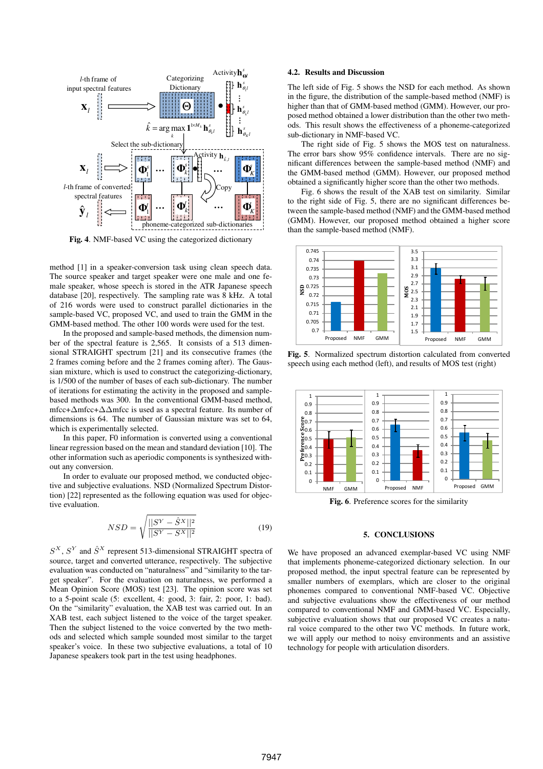

Fig. 4. NMF-based VC using the categorized dictionary

method [1] in a speaker-conversion task using clean speech data. The source speaker and target speaker were one male and one female speaker, whose speech is stored in the ATR Japanese speech database [20], respectively. The sampling rate was 8 kHz. A total of 216 words were used to construct parallel dictionaries in the sample-based VC, proposed VC, and used to train the GMM in the GMM-based method. The other 100 words were used for the test.

In the proposed and sample-based methods, the dimension number of the spectral feature is 2,565. It consists of a 513 dimensional STRAIGHT spectrum [21] and its consecutive frames (the 2 frames coming before and the 2 frames coming after). The Gaussian mixture, which is used to construct the categorizing-dictionary, is 1/500 of the number of bases of each sub-dictionary. The number of iterations for estimating the activity in the proposed and samplebased methods was 300. In the conventional GMM-based method, mfcc+∆mfcc+∆∆mfcc is used as a spectral feature. Its number of dimensions is 64. The number of Gaussian mixture was set to 64, which is experimentally selected.

In this paper, F0 information is converted using a conventional linear regression based on the mean and standard deviation [10]. The other information such as aperiodic components is synthesized without any conversion.

In order to evaluate our proposed method, we conducted objective and subjective evaluations. NSD (Normalized Spectrum Distortion) [22] represented as the following equation was used for objective evaluation.

$$
NSD = \sqrt{\frac{||S^Y - \hat{S}^X||^2}{||S^Y - S^X||^2}}
$$
(19)

 $S<sup>X</sup>$ ,  $S<sup>Y</sup>$  and  $\hat{S}<sup>X</sup>$  represent 513-dimensional STRAIGHT spectra of source, target and converted utterance, respectively. The subjective evaluation was conducted on "naturalness" and "similarity to the target speaker". For the evaluation on naturalness, we performed a Mean Opinion Score (MOS) test [23]. The opinion score was set to a 5-point scale (5: excellent, 4: good, 3: fair, 2: poor, 1: bad). On the "similarity" evaluation, the XAB test was carried out. In an XAB test, each subject listened to the voice of the target speaker. Then the subject listened to the voice converted by the two methods and selected which sample sounded most similar to the target speaker's voice. In these two subjective evaluations, a total of 10 Japanese speakers took part in the test using headphones.

## 4.2. Results and Discussion

The left side of Fig. 5 shows the NSD for each method. As shown in the figure, the distribution of the sample-based method (NMF) is higher than that of GMM-based method (GMM). However, our proposed method obtained a lower distribution than the other two methods. This result shows the effectiveness of a phoneme-categorized sub-dictionary in NMF-based VC.

The right side of Fig. 5 shows the MOS test on naturalness. The error bars show 95% confidence intervals. There are no significant differences between the sample-based method (NMF) and the GMM-based method (GMM). However, our proposed method obtained a significantly higher score than the other two methods.

Fig. 6 shows the result of the XAB test on similarity. Similar to the right side of Fig. 5, there are no significant differences between the sample-based method (NMF) and the GMM-based method (GMM). However, our proposed method obtained a higher score than the sample-based method (NMF).



Fig. 5. Normalized spectrum distortion calculated from converted speech using each method (left), and results of MOS test (right)



Fig. 6. Preference scores for the similarity

#### 5. CONCLUSIONS

We have proposed an advanced exemplar-based VC using NMF that implements phoneme-categorized dictionary selection. In our proposed method, the input spectral feature can be represented by smaller numbers of exemplars, which are closer to the original phonemes compared to conventional NMF-based VC. Objective and subjective evaluations show the effectiveness of our method compared to conventional NMF and GMM-based VC. Especially, subjective evaluation shows that our proposed VC creates a natural voice compared to the other two VC methods. In future work, we will apply our method to noisy environments and an assistive technology for people with articulation disorders.